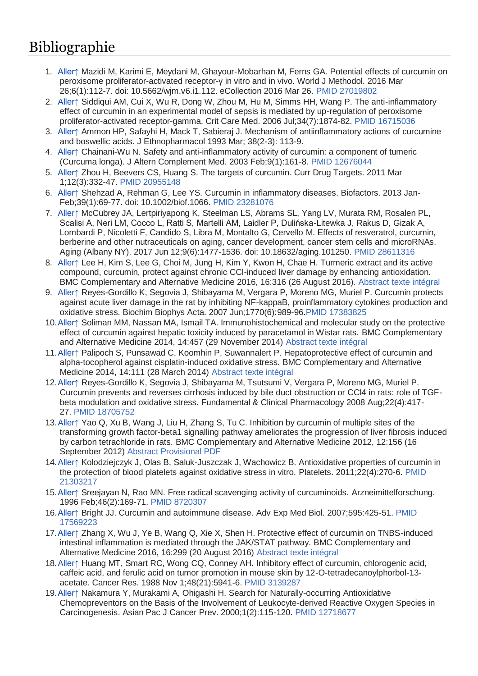## Bibliographie

- 1. [Aller↑](http://www.wikiphyto.org/wiki/Curcumine#cite_ref-1) Mazidi M, Karimi E, Meydani M, Ghayour-Mobarhan M, Ferns GA. Potential effects of curcumin on peroxisome proliferator-activated receptor-γ in vitro and in vivo. World J Methodol. 2016 Mar 26;6(1):112-7. doi: 10.5662/wjm.v6.i1.112. eCollection 2016 Mar 26. [PMID 27019802](http://www.ncbi.nlm.nih.gov/pubmed/27019802?dopt=Abstract)
- 2. [Aller↑](http://www.wikiphyto.org/wiki/Curcumine#cite_ref-2) Siddiqui AM, Cui X, Wu R, Dong W, Zhou M, Hu M, Simms HH, Wang P. The anti-inflammatory effect of curcumin in an experimental model of sepsis is mediated by up-regulation of peroxisome proliferator-activated receptor-gamma. Crit Care Med. 2006 Jul;34(7):1874-82. [PMID 16715036](http://www.ncbi.nlm.nih.gov/pubmed/16715036?dopt=Abstract)
- 3. [Aller↑](http://www.wikiphyto.org/wiki/Curcumine#cite_ref-3) Ammon HP, Safayhi H, Mack T, Sabieraj J. Mechanism of antiinflammatory actions of curcumine and boswellic acids. J Ethnopharmacol 1993 Mar; 38(2-3): 113-9.
- 4. [Aller↑](http://www.wikiphyto.org/wiki/Curcumine#cite_ref-4) Chainani-Wu N. Safety and anti-inflammatory activity of curcumin: a component of tumeric (Curcuma longa). J Altern Complement Med. 2003 Feb;9(1):161-8. [PMID 12676044](http://www.ncbi.nlm.nih.gov/pubmed/12676044?dopt=Abstract)
- 5. [Aller↑](http://www.wikiphyto.org/wiki/Curcumine#cite_ref-5) Zhou H, Beevers CS, Huang S. The targets of curcumin. Curr Drug Targets. 2011 Mar 1;12(3):332-47. [PMID 20955148](http://www.ncbi.nlm.nih.gov/pubmed/20955148?dopt=Abstract)
- 6. [Aller↑](http://www.wikiphyto.org/wiki/Curcumine#cite_ref-6) Shehzad A, Rehman G, Lee YS. Curcumin in inflammatory diseases. Biofactors. 2013 Jan-Feb;39(1):69-77. doi: 10.1002/biof.1066. [PMID 23281076](http://www.ncbi.nlm.nih.gov/pubmed/23281076?dopt=Abstract)
- 7. [Aller↑](http://www.wikiphyto.org/wiki/Curcumine#cite_ref-7) McCubrey JA, Lertpiriyapong K, Steelman LS, Abrams SL, Yang LV, Murata RM, Rosalen PL, Scalisi A, Neri LM, Cocco L, Ratti S, Martelli AM, Laidler P, Dulińska-Litewka J, Rakus D, Gizak A, Lombardi P, Nicoletti F, Candido S, Libra M, Montalto G, Cervello M. Effects of resveratrol, curcumin, berberine and other nutraceuticals on aging, cancer development, cancer stem cells and microRNAs. Aging (Albany NY). 2017 Jun 12;9(6):1477-1536. doi: 10.18632/aging.101250. [PMID 28611316](http://www.ncbi.nlm.nih.gov/pubmed/28611316?dopt=Abstract)
- 8. [Aller↑](http://www.wikiphyto.org/wiki/Curcumine#cite_ref-8) Lee H, Kim S, Lee G, Choi M, Jung H, Kim Y, Kwon H, Chae H. Turmeric extract and its active compound, curcumin, protect against chronic CCl-induced liver damage by enhancing antioxidation. BMC Complementary and Alternative Medicine 2016, 16:316 (26 August 2016). [Abstract](http://bmccomplementalternmed.biomedcentral.com/articles/10.1186/s12906-016-1307-6#Abs1) [texte intégral](http://bmccomplementalternmed.biomedcentral.com/track/pdf/10.1186/s12906-016-1307-6)
- 9. [Aller↑](http://www.wikiphyto.org/wiki/Curcumine#cite_ref-9) Reyes-Gordillo K, Segovia J, Shibayama M, Vergara P, Moreno MG, Muriel P. Curcumin protects against acute liver damage in the rat by inhibiting NF-kappaB, proinflammatory cytokines production and oxidative stress. Biochim Biophys Acta. 2007 Jun;1770(6):989-96[.PMID 17383825](http://www.ncbi.nlm.nih.gov/pubmed/17383825?dopt=Abstract)
- 10[.Aller↑](http://www.wikiphyto.org/wiki/Curcumine#cite_ref-10) Soliman MM, Nassan MA, Ismail TA. Immunohistochemical and molecular study on the protective effect of curcumin against hepatic toxicity induced by paracetamol in Wistar rats. BMC Complementary and Alternative Medicine 2014, 14:457 (29 November 2014) [Abstract](http://www.biomedcentral.com/1472-6882/14/457/abstract) [texte intégral](http://www.biomedcentral.com/content/pdf/1472-6882-14-457.pdf)
- 11[.Aller↑](http://www.wikiphyto.org/wiki/Curcumine#cite_ref-11) Palipoch S, Punsawad C, Koomhin P, Suwannalert P. Hepatoprotective effect of curcumin and alpha-tocopherol against cisplatin-induced oxidative stress. BMC Complementary and Alternative Medicine 2014, 14:111 (28 March 2014) [Abstract](http://www.biomedcentral.com/1472-6882/14/111/abstract) [texte intégral](http://www.biomedcentral.com/content/pdf/1472-6882-14-111.pdf)
- 12[.Aller↑](http://www.wikiphyto.org/wiki/Curcumine#cite_ref-12) Reyes-Gordillo K, Segovia J, Shibayama M, Tsutsumi V, Vergara P, Moreno MG, Muriel P. Curcumin prevents and reverses cirrhosis induced by bile duct obstruction or CCl4 in rats: role of TGFbeta modulation and oxidative stress. Fundamental & Clinical Pharmacology 2008 Aug;22(4):417- 27. [PMID 18705752](http://www.ncbi.nlm.nih.gov/pubmed/18705752?dopt=Abstract)
- 13[.Aller↑](http://www.wikiphyto.org/wiki/Curcumine#cite_ref-13) Yao Q, Xu B, Wang J, Liu H, Zhang S, Tu C. Inhibition by curcumin of multiple sites of the transforming growth factor-beta1 signalling pathway ameliorates the progression of liver fibrosis induced by carbon tetrachloride in rats. BMC Complementary and Alternative Medicine 2012, 12:156 (16 September 2012) [Abstract](http://www.biomedcentral.com/1472-6882/12/156/abstract) [Provisional PDF](http://www.biomedcentral.com/content/pdf/1472-6882-12-156.pdf)
- 14[.Aller↑](http://www.wikiphyto.org/wiki/Curcumine#cite_ref-14) Kolodziejczyk J, Olas B, Saluk-Juszczak J, Wachowicz B. Antioxidative properties of curcumin in the protection of blood platelets against oxidative stress in vitro. Platelets. 2011;22(4):270-6. [PMID](http://www.ncbi.nlm.nih.gov/pubmed/21303217?dopt=Abstract)  [21303217](http://www.ncbi.nlm.nih.gov/pubmed/21303217?dopt=Abstract)
- 15[.Aller↑](http://www.wikiphyto.org/wiki/Curcumine#cite_ref-15) Sreejayan N, Rao MN. Free radical scavenging activity of curcuminoids. Arzneimittelforschung. 1996 Feb;46(2):169-71. [PMID 8720307](http://www.ncbi.nlm.nih.gov/pubmed/8720307?dopt=Abstract)
- 16[.Aller↑](http://www.wikiphyto.org/wiki/Curcumine#cite_ref-16) Bright JJ. Curcumin and autoimmune disease. Adv Exp Med Biol. 2007;595:425-51. [PMID](http://www.ncbi.nlm.nih.gov/pubmed/17569223?dopt=Abstract)  [17569223](http://www.ncbi.nlm.nih.gov/pubmed/17569223?dopt=Abstract)
- 17[.Aller↑](http://www.wikiphyto.org/wiki/Curcumine#cite_ref-17) Zhang X, Wu J, Ye B, Wang Q, Xie X, Shen H. Protective effect of curcumin on TNBS-induced intestinal inflammation is mediated through the JAK/STAT pathway. BMC Complementary and Alternative Medicine 2016, 16:299 (20 August 2016) [Abstract](http://bmccomplementalternmed.biomedcentral.com/articles/10.1186/s12906-016-1273-z#Abs1) [texte intégral](http://bmccomplementalternmed.biomedcentral.com/track/pdf/10.1186/s12906-016-1273-z)
- 18[.Aller↑](http://www.wikiphyto.org/wiki/Curcumine#cite_ref-18) Huang MT, Smart RC, Wong CQ, Conney AH. Inhibitory effect of curcumin, chlorogenic acid, caffeic acid, and ferulic acid on tumor promotion in mouse skin by 12-O-tetradecanoylphorbol-13 acetate. Cancer Res. 1988 Nov 1;48(21):5941-6. [PMID 3139287](http://www.ncbi.nlm.nih.gov/pubmed/3139287?dopt=Abstract)
- 19[.Aller↑](http://www.wikiphyto.org/wiki/Curcumine#cite_ref-19) Nakamura Y, Murakami A, Ohigashi H. Search for Naturally-occurring Antioxidative Chemopreventors on the Basis of the Involvement of Leukocyte-derived Reactive Oxygen Species in Carcinogenesis. Asian Pac J Cancer Prev. 2000;1(2):115-120. [PMID 12718677](http://www.ncbi.nlm.nih.gov/pubmed/12718677?dopt=Abstract)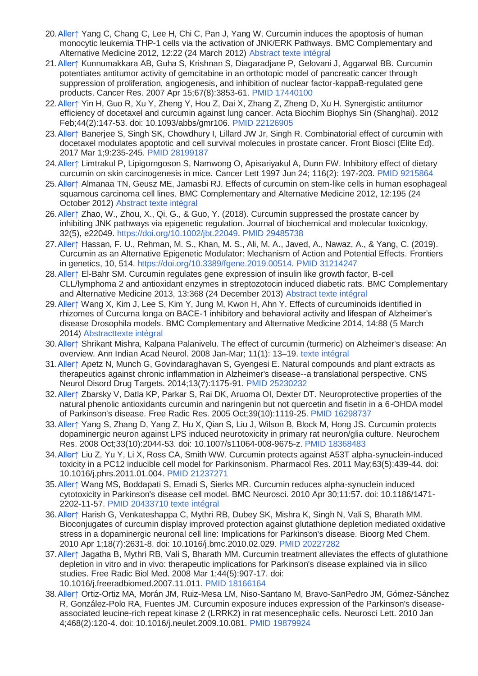- 20[.Aller↑](http://www.wikiphyto.org/wiki/Curcumine#cite_ref-20) Yang C, Chang C, Lee H, Chi C, Pan J, Yang W. Curcumin induces the apoptosis of human monocytic leukemia THP-1 cells via the activation of JNK/ERK Pathways. BMC Complementary and Alternative Medicine 2012, 12:22 (24 March 2012) [Abstract](http://www.biomedcentral.com/1472-6882/12/22/abstract) [texte intégral](http://www.biomedcentral.com/content/pdf/1472-6882-12-22.pdf)
- 21[.Aller↑](http://www.wikiphyto.org/wiki/Curcumine#cite_ref-21) Kunnumakkara AB, Guha S, Krishnan S, Diagaradjane P, Gelovani J, Aggarwal BB. Curcumin potentiates antitumor activity of gemcitabine in an orthotopic model of pancreatic cancer through suppression of proliferation, angiogenesis, and inhibition of nuclear factor-kappaB-regulated gene products. Cancer Res. 2007 Apr 15;67(8):3853-61. [PMID 17440100](http://www.ncbi.nlm.nih.gov/pubmed/17440100?dopt=Abstract)
- 22[.Aller↑](http://www.wikiphyto.org/wiki/Curcumine#cite_ref-22) Yin H, Guo R, Xu Y, Zheng Y, Hou Z, Dai X, Zhang Z, Zheng D, Xu H. Synergistic antitumor efficiency of docetaxel and curcumin against lung cancer. Acta Biochim Biophys Sin (Shanghai). 2012 Feb;44(2):147-53. doi: 10.1093/abbs/gmr106. [PMID 22126905](http://www.ncbi.nlm.nih.gov/pubmed/22126905?dopt=Abstract)
- 23[.Aller↑](http://www.wikiphyto.org/wiki/Curcumine#cite_ref-23) Banerjee S, Singh SK, Chowdhury I, Lillard JW Jr, Singh R. Combinatorial effect of curcumin with docetaxel modulates apoptotic and cell survival molecules in prostate cancer. Front Biosci (Elite Ed). 2017 Mar 1;9:235-245. [PMID 28199187](http://www.ncbi.nlm.nih.gov/pubmed/28199187?dopt=Abstract)
- 24[.Aller↑](http://www.wikiphyto.org/wiki/Curcumine#cite_ref-24) Limtrakul P, Lipigorngoson S, Namwong O, Apisariyakul A, Dunn FW. Inhibitory effect of dietary curcumin on skin carcinogenesis in mice. Cancer Lett 1997 Jun 24; 116(2): 197-203. [PMID 9215864](http://www.ncbi.nlm.nih.gov/pubmed/9215864?dopt=Abstract)
- 25[.Aller↑](http://www.wikiphyto.org/wiki/Curcumine#cite_ref-25) Almanaa TN, Geusz ME, Jamasbi RJ. Effects of curcumin on stem-like cells in human esophageal squamous carcinoma cell lines. BMC Complementary and Alternative Medicine 2012, 12:195 (24 October 2012) [Abstract](http://www.biomedcentral.com/1472-6882/12/195/abstract) [texte intégral](http://www.biomedcentral.com/content/pdf/1472-6882-12-195.pdf)
- 26[.Aller↑](http://www.wikiphyto.org/wiki/Curcumine#cite_ref-26) Zhao, W., Zhou, X., Qi, G., & Guo, Y. (2018). Curcumin suppressed the prostate cancer by inhibiting JNK pathways via epigenetic regulation. Journal of biochemical and molecular toxicology, 32(5), e22049. [https://doi.org/10.1002/jbt.22049.](https://doi.org/10.1002/jbt.22049) [PMID 29485738](http://www.ncbi.nlm.nih.gov/pubmed/29485738?dopt=Abstract)
- 27[.Aller↑](http://www.wikiphyto.org/wiki/Curcumine#cite_ref-27) Hassan, F. U., Rehman, M. S., Khan, M. S., Ali, M. A., Javed, A., Nawaz, A., & Yang, C. (2019). Curcumin as an Alternative Epigenetic Modulator: Mechanism of Action and Potential Effects. Frontiers in genetics, 10, 514. [https://doi.org/10.3389/fgene.2019.00514.](https://doi.org/10.3389/fgene.2019.00514) [PMID 31214247](http://www.ncbi.nlm.nih.gov/pubmed/31214247?dopt=Abstract)
- 28[.Aller↑](http://www.wikiphyto.org/wiki/Curcumine#cite_ref-28) El-Bahr SM. Curcumin regulates gene expression of insulin like growth factor, B-cell CLL/lymphoma 2 and antioxidant enzymes in streptozotocin induced diabetic rats. BMC Complementary and Alternative Medicine 2013, 13:368 (24 December 2013) [Abstract](http://www.biomedcentral.com/1472-6882/13/368/abstract) [texte intégral](http://www.biomedcentral.com/content/pdf/1472-6882-13-368.pdf)
- 29[.Aller↑](http://www.wikiphyto.org/wiki/Curcumine#cite_ref-29) Wang X, Kim J, Lee S, Kim Y, Jung M, Kwon H, Ahn Y. Effects of curcuminoids identified in rhizomes of Curcuma longa on BACE-1 inhibitory and behavioral activity and lifespan of Alzheimer's disease Drosophila models. BMC Complementary and Alternative Medicine 2014, 14:88 (5 March 2014) [Abstract](http://www.biomedcentral.com/1472-6882/14/88/abstract)[texte intégral](http://www.biomedcentral.com/content/pdf/1472-6882-14-88.pdf)
- 30[.Aller↑](http://www.wikiphyto.org/wiki/Curcumine#cite_ref-30) Shrikant Mishra, Kalpana Palanivelu. The effect of curcumin (turmeric) on Alzheimer's disease: An overview. Ann Indian Acad Neurol. 2008 Jan-Mar; 11(1): 13–19. [texte intégral](http://www.ncbi.nlm.nih.gov/pmc/articles/PMC2781139/)
- 31[.Aller↑](http://www.wikiphyto.org/wiki/Curcumine#cite_ref-31) Apetz N, Munch G, Govindaraghavan S, Gyengesi E. Natural compounds and plant extracts as therapeutics against chronic inflammation in Alzheimer's disease--a translational perspective. CNS Neurol Disord Drug Targets. 2014;13(7):1175-91. [PMID 25230232](http://www.ncbi.nlm.nih.gov/pubmed/25230232?dopt=Abstract)
- 32[.Aller↑](http://www.wikiphyto.org/wiki/Curcumine#cite_ref-32) Zbarsky V, Datla KP, Parkar S, Rai DK, Aruoma OI, Dexter DT. Neuroprotective properties of the natural phenolic antioxidants curcumin and naringenin but not quercetin and fisetin in a 6-OHDA model of Parkinson's disease. Free Radic Res. 2005 Oct;39(10):1119-25. [PMID 16298737](http://www.ncbi.nlm.nih.gov/pubmed/16298737?dopt=Abstract)
- 33[.Aller↑](http://www.wikiphyto.org/wiki/Curcumine#cite_ref-33) Yang S, Zhang D, Yang Z, Hu X, Qian S, Liu J, Wilson B, Block M, Hong JS. Curcumin protects dopaminergic neuron against LPS induced neurotoxicity in primary rat neuron/glia culture. Neurochem Res. 2008 Oct;33(10):2044-53. doi: 10.1007/s11064-008-9675-z. [PMID 18368483](http://www.ncbi.nlm.nih.gov/pubmed/18368483?dopt=Abstract)
- 34[.Aller↑](http://www.wikiphyto.org/wiki/Curcumine#cite_ref-34) Liu Z, Yu Y, Li X, Ross CA, Smith WW. Curcumin protects against A53T alpha-synuclein-induced toxicity in a PC12 inducible cell model for Parkinsonism. Pharmacol Res. 2011 May;63(5):439-44. doi: 10.1016/j.phrs.2011.01.004. [PMID 21237271](http://www.ncbi.nlm.nih.gov/pubmed/21237271?dopt=Abstract)
- 35[.Aller↑](http://www.wikiphyto.org/wiki/Curcumine#cite_ref-35) Wang MS, Boddapati S, Emadi S, Sierks MR. Curcumin reduces alpha-synuclein induced cytotoxicity in Parkinson's disease cell model. BMC Neurosci. 2010 Apr 30;11:57. doi: 10.1186/1471- 2202-11-57. [PMID 20433710](http://www.ncbi.nlm.nih.gov/pubmed/20433710?dopt=Abstract) [texte intégral](http://www.ncbi.nlm.nih.gov/pmc/articles/PMC2879277/pdf/1471-2202-11-57.pdf)
- 36[.Aller↑](http://www.wikiphyto.org/wiki/Curcumine#cite_ref-36) Harish G, Venkateshappa C, Mythri RB, Dubey SK, Mishra K, Singh N, Vali S, Bharath MM. Bioconjugates of curcumin display improved protection against glutathione depletion mediated oxidative stress in a dopaminergic neuronal cell line: Implications for Parkinson's disease. Bioorg Med Chem. 2010 Apr 1;18(7):2631-8. doi: 10.1016/j.bmc.2010.02.029. [PMID 20227282](http://www.ncbi.nlm.nih.gov/pubmed/20227282?dopt=Abstract)
- 37[.Aller↑](http://www.wikiphyto.org/wiki/Curcumine#cite_ref-37) Jagatha B, Mythri RB, Vali S, Bharath MM. Curcumin treatment alleviates the effects of glutathione depletion in vitro and in vivo: therapeutic implications for Parkinson's disease explained via in silico studies. Free Radic Biol Med. 2008 Mar 1;44(5):907-17. doi: 10.1016/j.freeradbiomed.2007.11.011. [PMID 18166164](http://www.ncbi.nlm.nih.gov/pubmed/18166164?dopt=Abstract)
- 38[.Aller↑](http://www.wikiphyto.org/wiki/Curcumine#cite_ref-38) Ortiz-Ortiz MA, Morán JM, Ruiz-Mesa LM, Niso-Santano M, Bravo-SanPedro JM, Gómez-Sánchez R, González-Polo RA, Fuentes JM. Curcumin exposure induces expression of the Parkinson's diseaseassociated leucine-rich repeat kinase 2 (LRRK2) in rat mesencephalic cells. Neurosci Lett. 2010 Jan 4;468(2):120-4. doi: 10.1016/j.neulet.2009.10.081. [PMID 19879924](http://www.ncbi.nlm.nih.gov/pubmed/19879924?dopt=Abstract)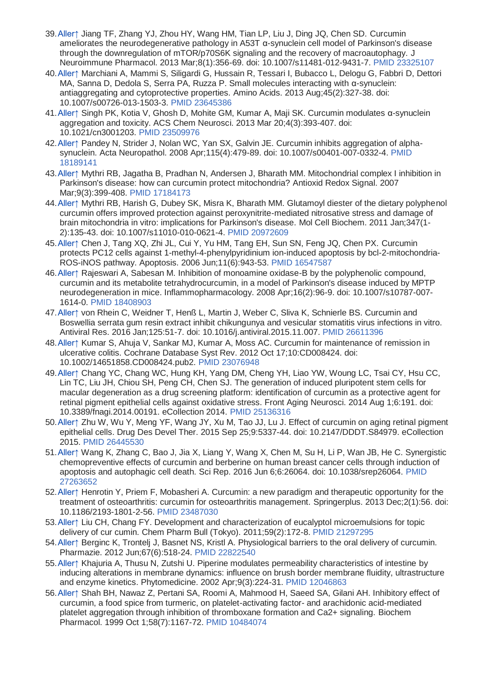- 39[.Aller↑](http://www.wikiphyto.org/wiki/Curcumine#cite_ref-39) Jiang TF, Zhang YJ, Zhou HY, Wang HM, Tian LP, Liu J, Ding JQ, Chen SD. Curcumin ameliorates the neurodegenerative pathology in A53T α-synuclein cell model of Parkinson's disease through the downregulation of mTOR/p70S6K signaling and the recovery of macroautophagy. J Neuroimmune Pharmacol. 2013 Mar;8(1):356-69. doi: 10.1007/s11481-012-9431-7. [PMID 23325107](http://www.ncbi.nlm.nih.gov/pubmed/23325107?dopt=Abstract)
- 40[.Aller↑](http://www.wikiphyto.org/wiki/Curcumine#cite_ref-40) Marchiani A, Mammi S, Siligardi G, Hussain R, Tessari I, Bubacco L, Delogu G, Fabbri D, Dettori MA, Sanna D, Dedola S, Serra PA, Ruzza P. Small molecules interacting with α-synuclein: antiaggregating and cytoprotective properties. Amino Acids. 2013 Aug;45(2):327-38. doi: 10.1007/s00726-013-1503-3. [PMID 23645386](http://www.ncbi.nlm.nih.gov/pubmed/23645386?dopt=Abstract)
- 41[.Aller↑](http://www.wikiphyto.org/wiki/Curcumine#cite_ref-41) Singh PK, Kotia V, Ghosh D, Mohite GM, Kumar A, Maji SK. Curcumin modulates α-synuclein aggregation and toxicity. ACS Chem Neurosci. 2013 Mar 20;4(3):393-407. doi: 10.1021/cn3001203. [PMID 23509976](http://www.ncbi.nlm.nih.gov/pubmed/23509976?dopt=Abstract)
- 42[.Aller↑](http://www.wikiphyto.org/wiki/Curcumine#cite_ref-42) Pandey N, Strider J, Nolan WC, Yan SX, Galvin JE. Curcumin inhibits aggregation of alphasynuclein. Acta Neuropathol. 2008 Apr;115(4):479-89. doi: 10.1007/s00401-007-0332-4. [PMID](http://www.ncbi.nlm.nih.gov/pubmed/18189141?dopt=Abstract)  [18189141](http://www.ncbi.nlm.nih.gov/pubmed/18189141?dopt=Abstract)
- 43[.Aller↑](http://www.wikiphyto.org/wiki/Curcumine#cite_ref-43) Mythri RB, Jagatha B, Pradhan N, Andersen J, Bharath MM. Mitochondrial complex I inhibition in Parkinson's disease: how can curcumin protect mitochondria? Antioxid Redox Signal. 2007 Mar;9(3):399-408. [PMID 17184173](http://www.ncbi.nlm.nih.gov/pubmed/17184173?dopt=Abstract)
- 44[.Aller↑](http://www.wikiphyto.org/wiki/Curcumine#cite_ref-44) Mythri RB, Harish G, Dubey SK, Misra K, Bharath MM. Glutamoyl diester of the dietary polyphenol curcumin offers improved protection against peroxynitrite-mediated nitrosative stress and damage of brain mitochondria in vitro: implications for Parkinson's disease. Mol Cell Biochem. 2011 Jan;347(1- 2):135-43. doi: 10.1007/s11010-010-0621-4. [PMID 20972609](http://www.ncbi.nlm.nih.gov/pubmed/20972609?dopt=Abstract)
- 45[.Aller↑](http://www.wikiphyto.org/wiki/Curcumine#cite_ref-45) Chen J, Tang XQ, Zhi JL, Cui Y, Yu HM, Tang EH, Sun SN, Feng JQ, Chen PX. Curcumin protects PC12 cells against 1-methyl-4-phenylpyridinium ion-induced apoptosis by bcl-2-mitochondria-ROS-iNOS pathway. Apoptosis. 2006 Jun;11(6):943-53. [PMID 16547587](http://www.ncbi.nlm.nih.gov/pubmed/16547587?dopt=Abstract)
- 46[.Aller↑](http://www.wikiphyto.org/wiki/Curcumine#cite_ref-46) Rajeswari A, Sabesan M. Inhibition of monoamine oxidase-B by the polyphenolic compound, curcumin and its metabolite tetrahydrocurcumin, in a model of Parkinson's disease induced by MPTP neurodegeneration in mice. Inflammopharmacology. 2008 Apr;16(2):96-9. doi: 10.1007/s10787-007- 1614-0. [PMID 18408903](http://www.ncbi.nlm.nih.gov/pubmed/18408903?dopt=Abstract)
- 47[.Aller↑](http://www.wikiphyto.org/wiki/Curcumine#cite_ref-47) von Rhein C, Weidner T, Henß L, Martin J, Weber C, Sliva K, Schnierle BS. Curcumin and Boswellia serrata gum resin extract inhibit chikungunya and vesicular stomatitis virus infections in vitro. Antiviral Res. 2016 Jan;125:51-7. doi: 10.1016/j.antiviral.2015.11.007. [PMID 26611396](http://www.ncbi.nlm.nih.gov/pubmed/26611396?dopt=Abstract)
- 48[.Aller↑](http://www.wikiphyto.org/wiki/Curcumine#cite_ref-48) Kumar S, Ahuja V, Sankar MJ, Kumar A, Moss AC. Curcumin for maintenance of remission in ulcerative colitis. Cochrane Database Syst Rev. 2012 Oct 17;10:CD008424. doi: 10.1002/14651858.CD008424.pub2. [PMID 23076948](http://www.ncbi.nlm.nih.gov/pubmed/23076948?dopt=Abstract)
- 49[.Aller↑](http://www.wikiphyto.org/wiki/Curcumine#cite_ref-49) Chang YC, Chang WC, Hung KH, Yang DM, Cheng YH, Liao YW, Woung LC, Tsai CY, Hsu CC, Lin TC, Liu JH, Chiou SH, Peng CH, Chen SJ. The generation of induced pluripotent stem cells for macular degeneration as a drug screening platform: identification of curcumin as a protective agent for retinal pigment epithelial cells against oxidative stress. Front Aging Neurosci. 2014 Aug 1;6:191. doi: 10.3389/fnagi.2014.00191. eCollection 2014. [PMID 25136316](http://www.ncbi.nlm.nih.gov/pubmed/25136316?dopt=Abstract)
- 50[.Aller↑](http://www.wikiphyto.org/wiki/Curcumine#cite_ref-50) Zhu W, Wu Y, Meng YF, Wang JY, Xu M, Tao JJ, Lu J. Effect of curcumin on aging retinal pigment epithelial cells. Drug Des Devel Ther. 2015 Sep 25;9:5337-44. doi: 10.2147/DDDT.S84979. eCollection 2015. [PMID 26445530](http://www.ncbi.nlm.nih.gov/pubmed/26445530?dopt=Abstract)
- 51[.Aller↑](http://www.wikiphyto.org/wiki/Curcumine#cite_ref-51) Wang K, Zhang C, Bao J, Jia X, Liang Y, Wang X, Chen M, Su H, Li P, Wan JB, He C. Synergistic chemopreventive effects of curcumin and berberine on human breast cancer cells through induction of apoptosis and autophagic cell death. Sci Rep. 2016 Jun 6;6:26064. doi: 10.1038/srep26064. [PMID](http://www.ncbi.nlm.nih.gov/pubmed/27263652?dopt=Abstract)  [27263652](http://www.ncbi.nlm.nih.gov/pubmed/27263652?dopt=Abstract)
- 52[.Aller↑](http://www.wikiphyto.org/wiki/Curcumine#cite_ref-52) Henrotin Y, Priem F, Mobasheri A. Curcumin: a new paradigm and therapeutic opportunity for the treatment of osteoarthritis: curcumin for osteoarthritis management. Springerplus. 2013 Dec;2(1):56. doi: 10.1186/2193-1801-2-56. [PMID 23487030](http://www.ncbi.nlm.nih.gov/pubmed/23487030?dopt=Abstract)
- 53[.Aller↑](http://www.wikiphyto.org/wiki/Curcumine#cite_ref-53) Liu CH, Chang FY. Development and characterization of eucalyptol microemulsions for topic delivery of cur cumin. Chem Pharm Bull (Tokyo). 2011;59(2):172-8. [PMID 21297295](http://www.ncbi.nlm.nih.gov/pubmed/21297295?dopt=Abstract)
- 54[.Aller↑](http://www.wikiphyto.org/wiki/Curcumine#cite_ref-54) Berginc K, Trontelj J, Basnet NS, Kristl A. Physiological barriers to the oral delivery of curcumin. Pharmazie. 2012 Jun;67(6):518-24. [PMID 22822540](http://www.ncbi.nlm.nih.gov/pubmed/22822540?dopt=Abstract)
- 55[.Aller↑](http://www.wikiphyto.org/wiki/Curcumine#cite_ref-55) Khajuria A, Thusu N, Zutshi U. Piperine modulates permeability characteristics of intestine by inducing alterations in membrane dynamics: influence on brush border membrane fluidity, ultrastructure and enzyme kinetics. Phytomedicine. 2002 Apr;9(3):224-31. [PMID 12046863](http://www.ncbi.nlm.nih.gov/pubmed/12046863?dopt=Abstract)
- 56[.Aller↑](http://www.wikiphyto.org/wiki/Curcumine#cite_ref-56) Shah BH, Nawaz Z, Pertani SA, Roomi A, Mahmood H, Saeed SA, Gilani AH. Inhibitory effect of curcumin, a food spice from turmeric, on platelet-activating factor- and arachidonic acid-mediated platelet aggregation through inhibition of thromboxane formation and Ca2+ signaling. Biochem Pharmacol. 1999 Oct 1;58(7):1167-72. [PMID 10484074](http://www.ncbi.nlm.nih.gov/pubmed/10484074?dopt=Abstract)